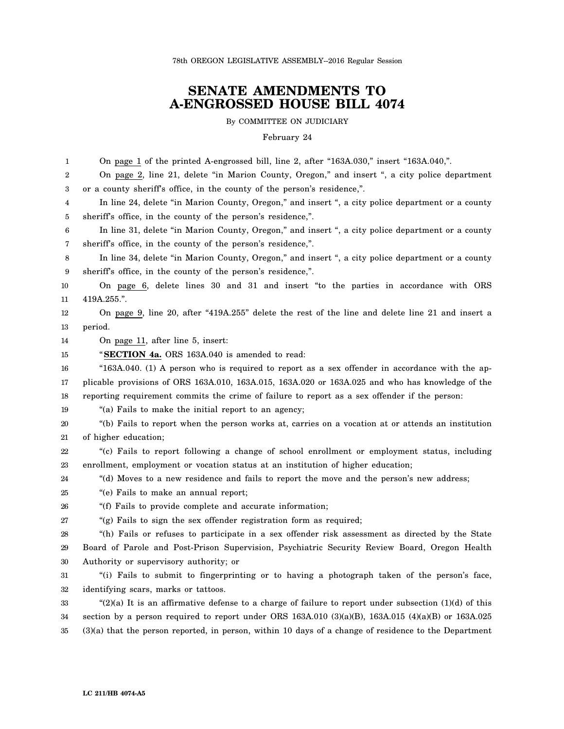78th OREGON LEGISLATIVE ASSEMBLY--2016 Regular Session

## **SENATE AMENDMENTS TO A-ENGROSSED HOUSE BILL 4074**

By COMMITTEE ON JUDICIARY

## February 24

1 2 3 4 5 6 7 8 9 10 11 12 13 14 15 16 17 18 19 20 21 22 23 24 25 26 27 28 29 30 31 32 33 34 35 On page 1 of the printed A-engrossed bill, line 2, after "163A.030," insert "163A.040,". On page 2, line 21, delete "in Marion County, Oregon," and insert ", a city police department or a county sheriff's office, in the county of the person's residence,". In line 24, delete "in Marion County, Oregon," and insert ", a city police department or a county sheriff's office, in the county of the person's residence,". In line 31, delete "in Marion County, Oregon," and insert ", a city police department or a county sheriff's office, in the county of the person's residence,". In line 34, delete "in Marion County, Oregon," and insert ", a city police department or a county sheriff's office, in the county of the person's residence,". On page 6, delete lines 30 and 31 and insert "to the parties in accordance with ORS 419A.255.". On page 9, line 20, after "419A.255" delete the rest of the line and delete line 21 and insert a period. On page 11, after line 5, insert: "**SECTION 4a.** ORS 163A.040 is amended to read: "163A.040. (1) A person who is required to report as a sex offender in accordance with the applicable provisions of ORS 163A.010, 163A.015, 163A.020 or 163A.025 and who has knowledge of the reporting requirement commits the crime of failure to report as a sex offender if the person: "(a) Fails to make the initial report to an agency; "(b) Fails to report when the person works at, carries on a vocation at or attends an institution of higher education; "(c) Fails to report following a change of school enrollment or employment status, including enrollment, employment or vocation status at an institution of higher education; "(d) Moves to a new residence and fails to report the move and the person's new address; "(e) Fails to make an annual report; "(f) Fails to provide complete and accurate information; "(g) Fails to sign the sex offender registration form as required; "(h) Fails or refuses to participate in a sex offender risk assessment as directed by the State Board of Parole and Post-Prison Supervision, Psychiatric Security Review Board, Oregon Health Authority or supervisory authority; or "(i) Fails to submit to fingerprinting or to having a photograph taken of the person's face, identifying scars, marks or tattoos. " $(2)(a)$  It is an affirmative defense to a charge of failure to report under subsection  $(1)(d)$  of this section by a person required to report under ORS 163A.010 (3)(a)(B), 163A.015 (4)(a)(B) or 163A.025 (3)(a) that the person reported, in person, within 10 days of a change of residence to the Department